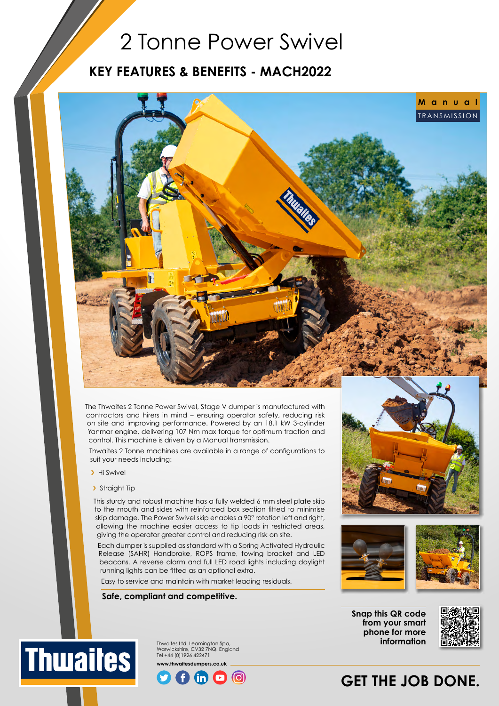## 2 Tonne Power Swivel

### **KEY FEATURES & BENEFITS - MACH2022**



The Thwaites 2 Tonne Power Swivel, Stage V dumper is manufactured with contractors and hirers in mind – ensuring operator safety, reducing risk on site and improving performance. Powered by an 18.1 kW 3-cylinder Yanmar engine, delivering 107 Nm max torque for optimum traction and control. This machine is driven by a Manual transmission.

Thwaites 2 Tonne machines are available in a range of configurations to suit your needs including:

- > Hi Swivel
- > Straight Tip

This sturdy and robust machine has a fully welded 6 mm steel plate skip to the mouth and sides with reinforced box section fitted to minimise skip damage. The Power Swivel skip enables a 90° rotation left and right, allowing the machine easier access to tip loads in restricted areas, giving the operator greater control and reducing risk on site.

Each dumper is supplied as standard with a Spring Activated Hydraulic Release (SAHR) Handbrake, ROPS frame, towing bracket and LED beacons. A reverse alarm and full LED road lights including daylight running lights can be fitted as an optional extra.

Easy to service and maintain with market leading residuals.

#### **Safe, compliant and competitive.**



Thwaites Ltd. Leamington Spa, Warwickshire, CV32 7NQ. England Tel +44 (0)1926 422471 **www.thwaitesdumpers.co.uk**







**Snap this QR code from your smart phone for more information**



## **GET THE JOB DONE.**